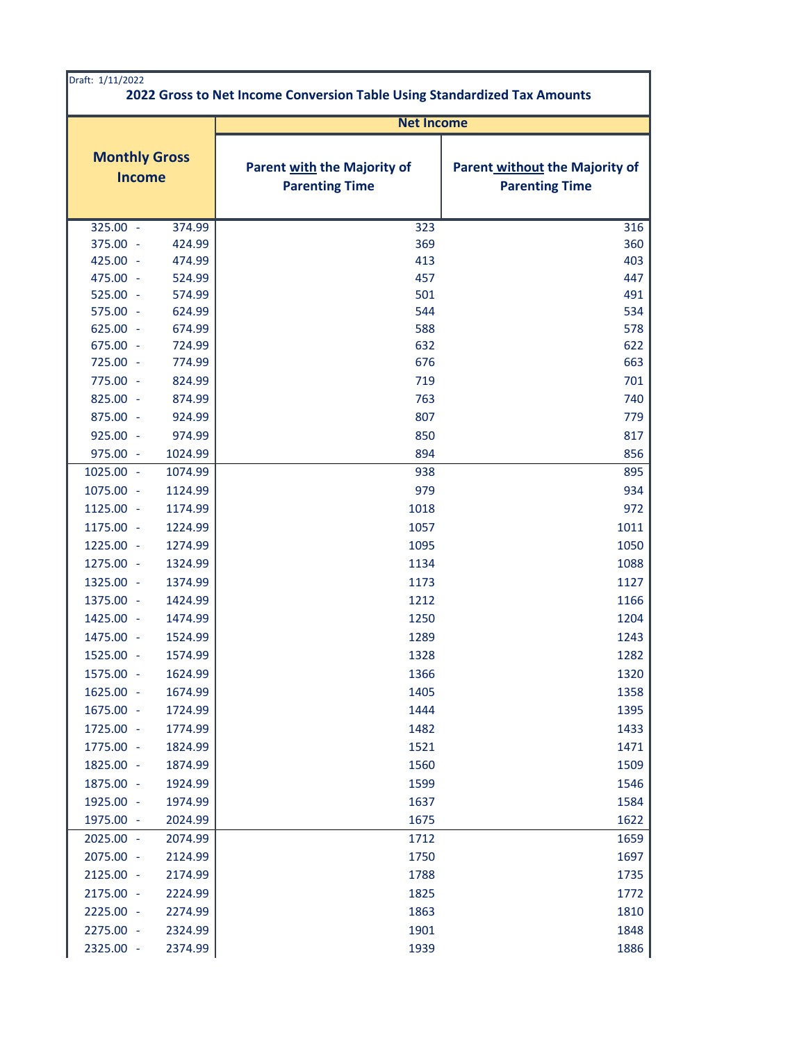| Draft: 1/11/2022<br>2022 Gross to Net Income Conversion Table Using Standardized Tax Amounts |                   |                                                      |                                                         |
|----------------------------------------------------------------------------------------------|-------------------|------------------------------------------------------|---------------------------------------------------------|
|                                                                                              | <b>Net Income</b> |                                                      |                                                         |
| <b>Monthly Gross</b><br><b>Income</b>                                                        |                   | Parent with the Majority of<br><b>Parenting Time</b> | Parent without the Majority of<br><b>Parenting Time</b> |
| $325.00 -$                                                                                   | 374.99            | 323                                                  | 316                                                     |
| 375.00 -                                                                                     | 424.99            | 369                                                  | 360                                                     |
| 425.00 -                                                                                     | 474.99            | 413                                                  | 403                                                     |
| 475.00 -                                                                                     | 524.99            | 457                                                  | 447                                                     |
| 525.00 -                                                                                     | 574.99            | 501                                                  | 491                                                     |
| 575.00 -                                                                                     | 624.99            | 544                                                  | 534                                                     |
| $625.00 -$                                                                                   | 674.99            | 588                                                  | 578                                                     |
| 675.00 -                                                                                     | 724.99            | 632                                                  | 622                                                     |
| 725.00 -                                                                                     | 774.99            | 676                                                  | 663                                                     |
| 775.00 -                                                                                     | 824.99            | 719                                                  | 701                                                     |
| 825.00 -                                                                                     | 874.99            | 763                                                  | 740                                                     |
| 875.00 -                                                                                     | 924.99            | 807                                                  | 779                                                     |
| 925.00 -                                                                                     | 974.99            | 850                                                  | 817                                                     |
| 975.00 -                                                                                     | 1024.99           | 894                                                  | 856                                                     |
| 1025.00 -                                                                                    | 1074.99           | 938                                                  | 895                                                     |
| 1075.00 -                                                                                    | 1124.99           | 979                                                  | 934                                                     |
| 1125.00 -                                                                                    | 1174.99           | 1018                                                 | 972                                                     |
| 1175.00 -                                                                                    | 1224.99           | 1057                                                 | 1011                                                    |
| 1225.00 -                                                                                    | 1274.99           | 1095                                                 | 1050                                                    |
| 1275.00 -                                                                                    | 1324.99           | 1134                                                 | 1088                                                    |
| 1325.00 -                                                                                    | 1374.99           | 1173                                                 | 1127                                                    |
| 1375.00 -                                                                                    | 1424.99           | 1212                                                 | 1166                                                    |
| 1425.00 -                                                                                    | 1474.99           | 1250                                                 | 1204                                                    |
| 1475.00 -                                                                                    | 1524.99           | 1289                                                 | 1243                                                    |
| 1525.00 -                                                                                    | 1574.99           | 1328                                                 | 1282                                                    |
| 1575.00 -                                                                                    | 1624.99           | 1366                                                 | 1320                                                    |
| 1625.00 -                                                                                    | 1674.99           | 1405                                                 | 1358                                                    |
| 1675.00 -                                                                                    | 1724.99           | 1444                                                 | 1395                                                    |
| 1725.00 -                                                                                    | 1774.99           | 1482                                                 | 1433                                                    |
| 1775.00 -                                                                                    | 1824.99           | 1521                                                 | 1471                                                    |
| 1825.00 -                                                                                    | 1874.99           | 1560                                                 | 1509                                                    |
| 1875.00 -                                                                                    | 1924.99           | 1599                                                 | 1546                                                    |
| 1925.00 -                                                                                    | 1974.99           | 1637                                                 | 1584                                                    |
| 1975.00 -                                                                                    | 2024.99           | 1675                                                 | 1622                                                    |
| 2025.00 -                                                                                    | 2074.99           | 1712                                                 | 1659                                                    |
| 2075.00 -                                                                                    | 2124.99           | 1750                                                 | 1697                                                    |
| 2125.00 -                                                                                    | 2174.99           | 1788                                                 | 1735                                                    |
| 2175.00 -                                                                                    | 2224.99           | 1825                                                 | 1772                                                    |
| 2225.00 -                                                                                    | 2274.99           | 1863                                                 | 1810                                                    |
| 2275.00 -                                                                                    | 2324.99           | 1901                                                 | 1848                                                    |
| 2325.00 -                                                                                    | 2374.99           | 1939                                                 | 1886                                                    |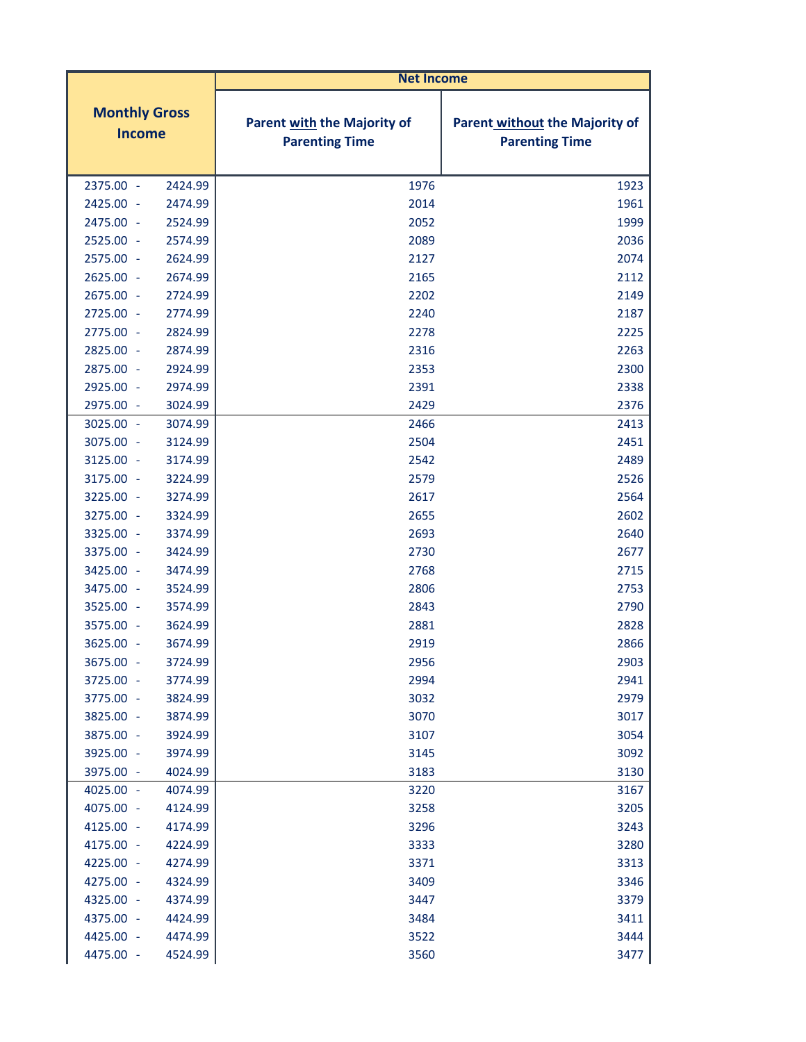|                                       | <b>Net Income</b>                                           |                                                                |
|---------------------------------------|-------------------------------------------------------------|----------------------------------------------------------------|
| <b>Monthly Gross</b><br><b>Income</b> | <b>Parent with the Majority of</b><br><b>Parenting Time</b> | <b>Parent without the Majority of</b><br><b>Parenting Time</b> |
| 2375.00 -<br>2424.99                  | 1976                                                        | 1923                                                           |
| 2425.00 -<br>2474.99                  | 2014                                                        | 1961                                                           |
| 2475.00 -<br>2524.99                  | 2052                                                        | 1999                                                           |
| 2525.00 -<br>2574.99                  | 2089                                                        | 2036                                                           |
| 2624.99<br>2575.00 -                  | 2127                                                        | 2074                                                           |
| 2625.00 -<br>2674.99                  | 2165                                                        | 2112                                                           |
| 2675.00 -<br>2724.99                  | 2202                                                        | 2149                                                           |
| 2725.00 -<br>2774.99                  | 2240                                                        | 2187                                                           |
| 2775.00 -<br>2824.99                  | 2278                                                        | 2225                                                           |
| 2825.00 -<br>2874.99                  | 2316                                                        | 2263                                                           |
| 2924.99<br>2875.00 -                  | 2353                                                        | 2300                                                           |
| 2925.00 -<br>2974.99                  | 2391                                                        | 2338                                                           |
| 2975.00 -<br>3024.99                  | 2429                                                        | 2376                                                           |
| 3025.00 -<br>3074.99                  | 2466                                                        | 2413                                                           |
| 3075.00 -<br>3124.99                  | 2504                                                        | 2451                                                           |
| 3125.00 -<br>3174.99                  | 2542                                                        | 2489                                                           |
| 3175.00 -<br>3224.99                  | 2579                                                        | 2526                                                           |
| 3225.00 -<br>3274.99                  | 2617                                                        | 2564                                                           |
| 3275.00 -<br>3324.99                  | 2655                                                        | 2602                                                           |
| 3325.00 -<br>3374.99                  | 2693                                                        | 2640                                                           |
| 3375.00 -<br>3424.99                  | 2730                                                        | 2677                                                           |
| 3425.00 -<br>3474.99                  | 2768                                                        | 2715                                                           |
| 3475.00 -<br>3524.99                  | 2806                                                        | 2753                                                           |
| 3525.00 -<br>3574.99                  | 2843                                                        | 2790                                                           |
| 3575.00<br>3624.99<br>$\sim$          | 2881                                                        | 2828                                                           |
| 3625.00 -<br>3674.99                  | 2919                                                        | 2866                                                           |
| 3675.00 -<br>3724.99                  | 2956                                                        | 2903                                                           |
| 3725.00<br>3774.99<br>÷,              | 2994                                                        | 2941                                                           |
| 3775.00 -<br>3824.99                  | 3032                                                        | 2979                                                           |
| 3825.00 -<br>3874.99                  | 3070                                                        | 3017                                                           |
| 3875.00 -<br>3924.99                  | 3107                                                        | 3054                                                           |
| 3925.00 -<br>3974.99                  | 3145                                                        | 3092                                                           |
| 3975.00 -<br>4024.99                  | 3183                                                        | 3130                                                           |
| 4025.00 -<br>4074.99                  | 3220                                                        | 3167                                                           |
| 4075.00 -<br>4124.99                  | 3258                                                        | 3205                                                           |
| 4125.00 -<br>4174.99                  | 3296                                                        | 3243                                                           |
| 4175.00 -<br>4224.99                  | 3333                                                        | 3280                                                           |
| 4225.00 -<br>4274.99                  | 3371                                                        | 3313                                                           |
| 4275.00 -<br>4324.99                  | 3409                                                        | 3346                                                           |
| 4325.00 -<br>4374.99                  | 3447                                                        | 3379                                                           |
| 4375.00 -<br>4424.99                  | 3484                                                        | 3411                                                           |
| 4425.00 -<br>4474.99                  | 3522                                                        | 3444                                                           |
| 4475.00 -<br>4524.99                  | 3560                                                        | 3477                                                           |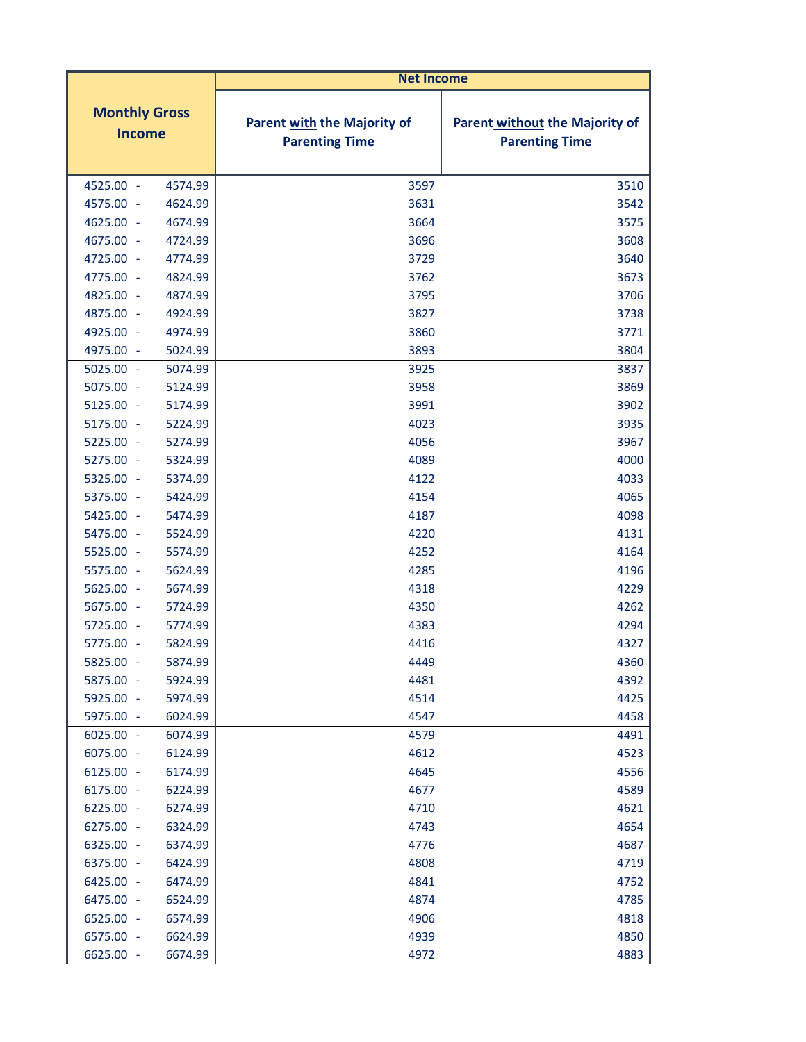|                                       | <b>Net Income</b>                                           |                                                                |
|---------------------------------------|-------------------------------------------------------------|----------------------------------------------------------------|
| <b>Monthly Gross</b><br><b>Income</b> | <b>Parent with the Majority of</b><br><b>Parenting Time</b> | <b>Parent without the Majority of</b><br><b>Parenting Time</b> |
| 4525.00 -<br>4574.99                  | 3597                                                        | 3510                                                           |
| 4575.00 -<br>4624.99                  | 3631                                                        | 3542                                                           |
| 4625.00 -<br>4674.99                  | 3664                                                        | 3575                                                           |
| 4675.00 -<br>4724.99                  | 3696                                                        | 3608                                                           |
| 4725.00 -<br>4774.99                  | 3729                                                        | 3640                                                           |
| 4775.00 -<br>4824.99                  | 3762                                                        | 3673                                                           |
| 4825.00 -<br>4874.99                  | 3795                                                        | 3706                                                           |
| 4875.00 -<br>4924.99                  | 3827                                                        | 3738                                                           |
| 4925.00 -<br>4974.99                  | 3860                                                        | 3771                                                           |
| 4975.00 -<br>5024.99                  | 3893                                                        | 3804                                                           |
| $5025.00 -$<br>5074.99                | 3925                                                        | 3837                                                           |
| 5075.00 -<br>5124.99                  | 3958                                                        | 3869                                                           |
| 5125.00 -<br>5174.99                  | 3991                                                        | 3902                                                           |
| 5175.00 -<br>5224.99                  | 4023                                                        | 3935                                                           |
| 5225.00 -<br>5274.99                  | 4056                                                        | 3967                                                           |
| 5275.00 -<br>5324.99                  | 4089                                                        | 4000                                                           |
| 5325.00 -<br>5374.99                  | 4122                                                        | 4033                                                           |
| 5375.00 -<br>5424.99                  | 4154                                                        | 4065                                                           |
| 5425.00 -<br>5474.99                  | 4187                                                        | 4098                                                           |
| 5475.00 -<br>5524.99                  | 4220                                                        | 4131                                                           |
| 5525.00 -<br>5574.99                  | 4252                                                        | 4164                                                           |
| 5575.00 -<br>5624.99                  | 4285                                                        | 4196                                                           |
| 5625.00 -<br>5674.99                  | 4318                                                        | 4229                                                           |
| 5675.00 -<br>5724.99                  | 4350                                                        | 4262                                                           |
| 5725.00 -<br>5774.99                  | 4383                                                        | 4294                                                           |
| 5775.00 -<br>5824.99                  | 4416                                                        | 4327                                                           |
| 5825.00 -<br>5874.99                  | 4449                                                        | 4360                                                           |
| 5875.00 -<br>5924.99                  | 4481                                                        | 4392                                                           |
| 5925.00 -<br>5974.99                  | 4514                                                        | 4425                                                           |
| 5975.00 -<br>6024.99                  | 4547                                                        | 4458                                                           |
| $6025.00 -$<br>6074.99                | 4579                                                        | 4491                                                           |
| 6075.00 -<br>6124.99                  | 4612                                                        | 4523                                                           |
| 6125.00 -<br>6174.99                  | 4645                                                        | 4556                                                           |
| 6175.00 -<br>6224.99                  | 4677                                                        | 4589                                                           |
| 6225.00 -<br>6274.99                  | 4710                                                        | 4621                                                           |
| 6275.00 -<br>6324.99                  | 4743                                                        | 4654                                                           |
| 6325.00 -<br>6374.99                  | 4776                                                        | 4687                                                           |
| 6375.00 -<br>6424.99                  | 4808                                                        | 4719                                                           |
| 6425.00 -<br>6474.99                  | 4841                                                        | 4752                                                           |
| 6475.00 -<br>6524.99                  | 4874                                                        | 4785                                                           |
| 6525.00 -<br>6574.99                  | 4906                                                        | 4818                                                           |
| 6575.00 -<br>6624.99                  | 4939                                                        | 4850                                                           |
| 6625.00 -<br>6674.99                  | 4972                                                        | 4883                                                           |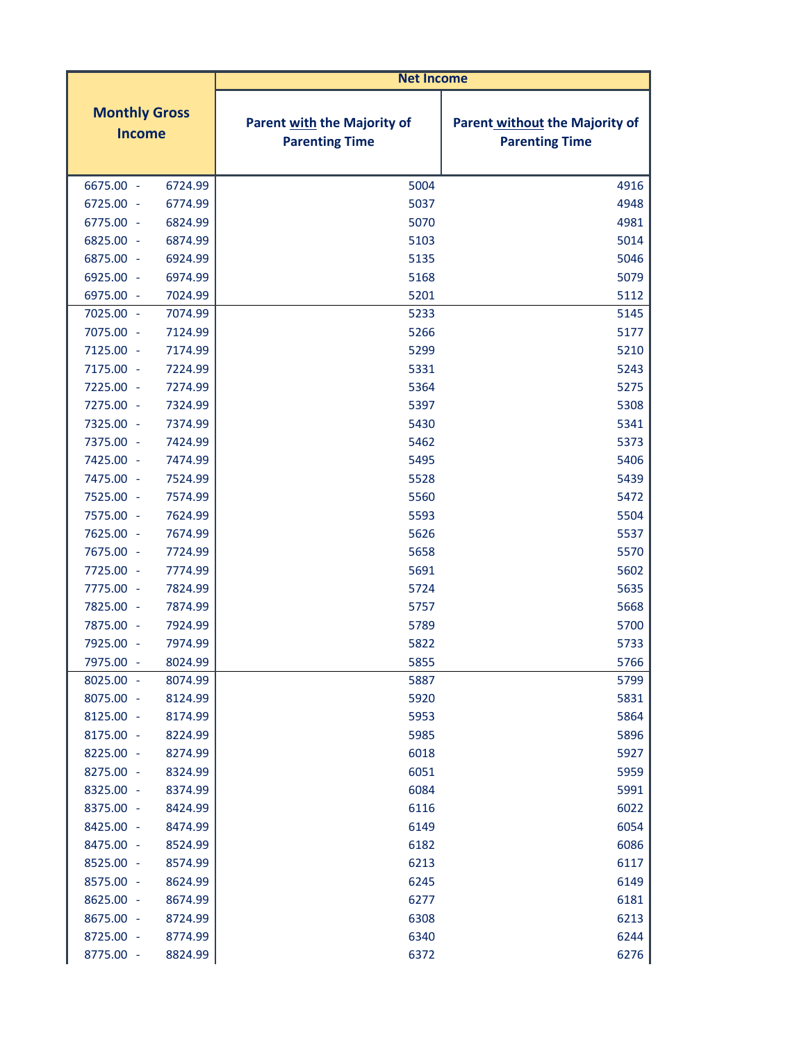|                                       |         | <b>Net Income</b>                                    |                                                                |
|---------------------------------------|---------|------------------------------------------------------|----------------------------------------------------------------|
| <b>Monthly Gross</b><br><b>Income</b> |         | Parent with the Majority of<br><b>Parenting Time</b> | <b>Parent without the Majority of</b><br><b>Parenting Time</b> |
| 6675.00 -                             | 6724.99 | 5004                                                 | 4916                                                           |
| 6725.00 -                             | 6774.99 | 5037                                                 | 4948                                                           |
| 6775.00 -                             | 6824.99 | 5070                                                 | 4981                                                           |
| 6825.00 -                             | 6874.99 | 5103                                                 | 5014                                                           |
| 6875.00 -                             | 6924.99 | 5135                                                 | 5046                                                           |
| 6925.00 -                             | 6974.99 | 5168                                                 | 5079                                                           |
| 6975.00 -                             | 7024.99 | 5201                                                 | 5112                                                           |
| 7025.00 -                             | 7074.99 | 5233                                                 | 5145                                                           |
| 7075.00 -                             | 7124.99 | 5266                                                 | 5177                                                           |
| 7125.00 -                             | 7174.99 | 5299                                                 | 5210                                                           |
| 7175.00 -                             | 7224.99 | 5331                                                 | 5243                                                           |
| 7225.00 -                             | 7274.99 | 5364                                                 | 5275                                                           |
| 7275.00 -                             | 7324.99 | 5397                                                 | 5308                                                           |
| 7325.00 -                             | 7374.99 | 5430                                                 | 5341                                                           |
| 7375.00 -                             | 7424.99 | 5462                                                 | 5373                                                           |
| 7425.00 -                             | 7474.99 | 5495                                                 | 5406                                                           |
| 7475.00 -                             | 7524.99 | 5528                                                 | 5439                                                           |
| 7525.00 -                             | 7574.99 | 5560                                                 | 5472                                                           |
| 7575.00 -                             | 7624.99 | 5593                                                 | 5504                                                           |
| 7625.00 -                             | 7674.99 | 5626                                                 | 5537                                                           |
| 7675.00 -                             | 7724.99 | 5658                                                 | 5570                                                           |
| 7725.00 -                             | 7774.99 | 5691                                                 | 5602                                                           |
| 7775.00 -                             | 7824.99 | 5724                                                 | 5635                                                           |
| 7825.00 -                             | 7874.99 | 5757                                                 | 5668                                                           |
| 7875.00 -                             | 7924.99 | 5789                                                 | 5700                                                           |
| 7925.00 -                             | 7974.99 | 5822                                                 | 5733                                                           |
| 7975.00 -                             | 8024.99 | 5855                                                 | 5766                                                           |
| 8025.00 -                             | 8074.99 | 5887                                                 | 5799                                                           |
| 8075.00 -                             | 8124.99 | 5920                                                 | 5831                                                           |
| 8125.00 -                             | 8174.99 | 5953                                                 | 5864                                                           |
| 8175.00 -                             | 8224.99 | 5985                                                 | 5896                                                           |
| 8225.00 -                             | 8274.99 | 6018                                                 | 5927                                                           |
| 8275.00 -                             | 8324.99 | 6051                                                 | 5959                                                           |
| 8325.00 -                             | 8374.99 | 6084                                                 | 5991                                                           |
| 8375.00 -                             | 8424.99 | 6116                                                 | 6022                                                           |
| 8425.00 -                             | 8474.99 | 6149                                                 | 6054                                                           |
| 8475.00 -                             | 8524.99 | 6182                                                 | 6086                                                           |
| 8525.00 -                             | 8574.99 | 6213                                                 | 6117                                                           |
| 8575.00 -                             | 8624.99 | 6245                                                 | 6149                                                           |
| 8625.00 -                             | 8674.99 | 6277                                                 | 6181                                                           |
| 8675.00 -                             | 8724.99 | 6308                                                 | 6213                                                           |
| 8725.00 -                             | 8774.99 | 6340                                                 | 6244                                                           |
| 8775.00 -                             | 8824.99 | 6372                                                 | 6276                                                           |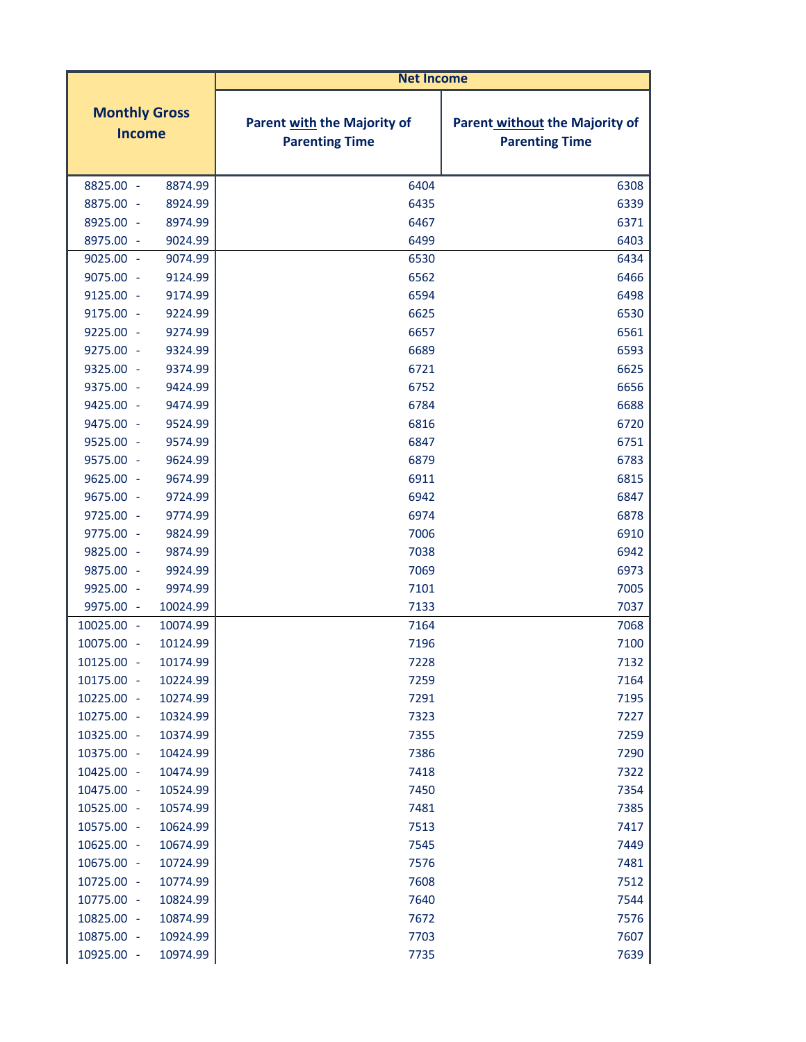|                                       |          | <b>Net Income</b>                                           |                                                                |
|---------------------------------------|----------|-------------------------------------------------------------|----------------------------------------------------------------|
| <b>Monthly Gross</b><br><b>Income</b> |          | <b>Parent with the Majority of</b><br><b>Parenting Time</b> | <b>Parent without the Majority of</b><br><b>Parenting Time</b> |
| 8825.00 -                             | 8874.99  | 6404                                                        | 6308                                                           |
| 8875.00 -                             | 8924.99  | 6435                                                        | 6339                                                           |
| 8925.00 -                             | 8974.99  | 6467                                                        | 6371                                                           |
| 8975.00 -                             | 9024.99  | 6499                                                        | 6403                                                           |
| $9025.00 -$                           | 9074.99  | 6530                                                        | 6434                                                           |
| 9075.00 -                             | 9124.99  | 6562                                                        | 6466                                                           |
| 9125.00 -                             | 9174.99  | 6594                                                        | 6498                                                           |
| 9175.00 -                             | 9224.99  | 6625                                                        | 6530                                                           |
| 9225.00 -                             | 9274.99  | 6657                                                        | 6561                                                           |
| 9275.00 -                             | 9324.99  | 6689                                                        | 6593                                                           |
| 9325.00 -                             | 9374.99  | 6721                                                        | 6625                                                           |
| 9375.00 -                             | 9424.99  | 6752                                                        | 6656                                                           |
| 9425.00 -                             | 9474.99  | 6784                                                        | 6688                                                           |
| 9475.00 -                             | 9524.99  | 6816                                                        | 6720                                                           |
| 9525.00 -                             | 9574.99  | 6847                                                        | 6751                                                           |
| 9575.00 -                             | 9624.99  | 6879                                                        | 6783                                                           |
| $9625.00 -$                           | 9674.99  | 6911                                                        | 6815                                                           |
| 9675.00 -                             | 9724.99  | 6942                                                        | 6847                                                           |
| 9725.00 -                             | 9774.99  | 6974                                                        | 6878                                                           |
| 9775.00 -                             | 9824.99  | 7006                                                        | 6910                                                           |
| 9825.00 -                             | 9874.99  | 7038                                                        | 6942                                                           |
| 9875.00 -                             | 9924.99  | 7069                                                        | 6973                                                           |
| 9925.00 -                             | 9974.99  | 7101                                                        | 7005                                                           |
| 9975.00 -                             | 10024.99 | 7133                                                        | 7037                                                           |
| 10025.00<br>$\sim$                    | 10074.99 | 7164                                                        | 7068                                                           |
| 10075.00 -                            | 10124.99 | 7196                                                        | 7100                                                           |
| 10125.00 -                            | 10174.99 | 7228                                                        | 7132                                                           |
| 10175.00 -                            | 10224.99 | 7259                                                        | 7164                                                           |
| 10225.00 -                            | 10274.99 | 7291                                                        | 7195                                                           |
| 10275.00 -                            | 10324.99 | 7323                                                        | 7227                                                           |
| 10325.00 -                            | 10374.99 | 7355                                                        | 7259                                                           |
| 10375.00 -                            | 10424.99 | 7386                                                        | 7290                                                           |
| 10425.00 -                            | 10474.99 | 7418                                                        | 7322                                                           |
| 10475.00 -                            | 10524.99 | 7450                                                        | 7354                                                           |
| 10525.00 -                            | 10574.99 | 7481                                                        | 7385                                                           |
| 10575.00 -                            | 10624.99 | 7513                                                        | 7417                                                           |
| 10625.00 -                            | 10674.99 | 7545                                                        | 7449                                                           |
| 10675.00 -                            | 10724.99 | 7576                                                        | 7481                                                           |
| 10725.00 -                            | 10774.99 | 7608                                                        | 7512                                                           |
| 10775.00 -                            | 10824.99 | 7640                                                        | 7544                                                           |
| 10825.00 -                            | 10874.99 | 7672                                                        | 7576                                                           |
| 10875.00 -                            | 10924.99 | 7703                                                        | 7607                                                           |
| 10925.00 -                            | 10974.99 | 7735                                                        | 7639                                                           |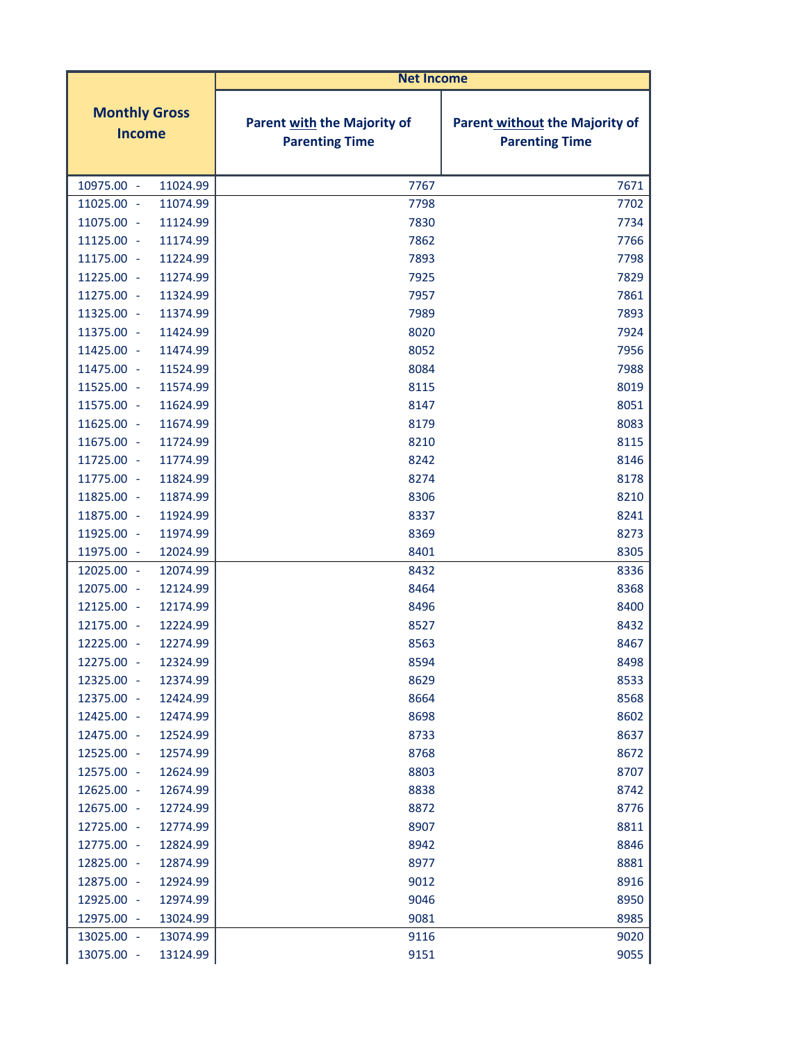|                                       | <b>Net Income</b>                                    |                                                         |
|---------------------------------------|------------------------------------------------------|---------------------------------------------------------|
| <b>Monthly Gross</b><br><b>Income</b> | Parent with the Majority of<br><b>Parenting Time</b> | Parent without the Majority of<br><b>Parenting Time</b> |
| 10975.00 -<br>11024.99                | 7767                                                 | 7671                                                    |
| 11025.00 -<br>11074.99                | 7798                                                 | 7702                                                    |
| 11075.00 -<br>11124.99                | 7830                                                 | 7734                                                    |
| 11125.00 -<br>11174.99                | 7862                                                 | 7766                                                    |
| 11175.00 -<br>11224.99                | 7893                                                 | 7798                                                    |
| 11225.00 -<br>11274.99                | 7925                                                 | 7829                                                    |
| 11275.00 -<br>11324.99                | 7957                                                 | 7861                                                    |
| 11325.00 -<br>11374.99                | 7989                                                 | 7893                                                    |
| 11424.99<br>11375.00 -                | 8020                                                 | 7924                                                    |
| 11425.00 -<br>11474.99                | 8052                                                 | 7956                                                    |
| 11475.00 -<br>11524.99                | 8084                                                 | 7988                                                    |
| 11525.00 -<br>11574.99                | 8115                                                 | 8019                                                    |
| 11575.00 -<br>11624.99                | 8147                                                 | 8051                                                    |
| 11625.00 -<br>11674.99                | 8179                                                 | 8083                                                    |
| 11675.00 -<br>11724.99                | 8210                                                 | 8115                                                    |
| 11725.00 -<br>11774.99                | 8242                                                 | 8146                                                    |
| 11775.00 -<br>11824.99                | 8274                                                 | 8178                                                    |
| 11874.99<br>11825.00 -                | 8306                                                 | 8210                                                    |
| 11875.00 -<br>11924.99                | 8337                                                 | 8241                                                    |
| 11925.00 -<br>11974.99                | 8369                                                 | 8273                                                    |
| 11975.00 -<br>12024.99                | 8401                                                 | 8305                                                    |
| 12025.00 -<br>12074.99                | 8432                                                 | 8336                                                    |
| 12075.00 -<br>12124.99                | 8464                                                 | 8368                                                    |
| 12174.99<br>12125.00 -                | 8496                                                 | 8400                                                    |
| 12175.00 -<br>12224.99                | 8527                                                 | 8432                                                    |
| 12225.00 -<br>12274.99                | 8563                                                 | 8467                                                    |
| 12275.00 -<br>12324.99                | 8594                                                 | 8498                                                    |
| 12325.00<br>12374.99<br>÷,            | 8629                                                 | 8533                                                    |
| 12375.00 -<br>12424.99                | 8664                                                 | 8568                                                    |
| 12425.00 -<br>12474.99                | 8698                                                 | 8602                                                    |
| 12475.00 -<br>12524.99                | 8733                                                 | 8637                                                    |
| 12525.00 -<br>12574.99                | 8768                                                 | 8672                                                    |
| 12575.00 -<br>12624.99                | 8803                                                 | 8707                                                    |
| 12625.00 -<br>12674.99                | 8838                                                 | 8742                                                    |
| 12675.00 -<br>12724.99                | 8872                                                 | 8776                                                    |
| 12725.00 -<br>12774.99                | 8907                                                 | 8811                                                    |
| 12775.00 -<br>12824.99                | 8942                                                 | 8846                                                    |
| 12825.00 -<br>12874.99                | 8977                                                 | 8881                                                    |
| 12875.00 -<br>12924.99                | 9012                                                 | 8916                                                    |
| 12925.00 -<br>12974.99                | 9046                                                 | 8950                                                    |
| 12975.00<br>13024.99<br>$\sim$        | 9081                                                 | 8985                                                    |
| 13025.00 -<br>13074.99                | 9116                                                 | 9020                                                    |
| 13075.00 -<br>13124.99                | 9151                                                 | 9055                                                    |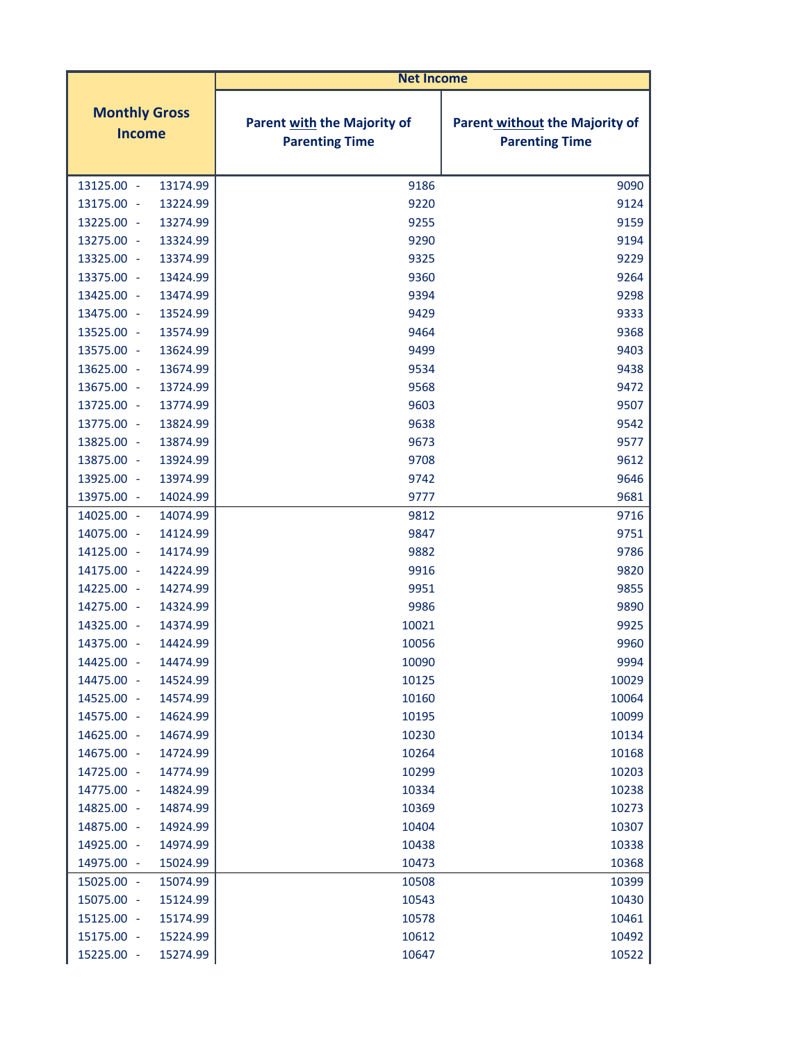|                                       | <b>Net Income</b>                                           |                                                                |
|---------------------------------------|-------------------------------------------------------------|----------------------------------------------------------------|
| <b>Monthly Gross</b><br><b>Income</b> | <b>Parent with the Majority of</b><br><b>Parenting Time</b> | <b>Parent without the Majority of</b><br><b>Parenting Time</b> |
| 13125.00 -<br>13174.99                | 9186                                                        | 9090                                                           |
| 13175.00 -<br>13224.99                | 9220                                                        | 9124                                                           |
| 13225.00 -<br>13274.99                | 9255                                                        | 9159                                                           |
| 13275.00 -<br>13324.99                | 9290                                                        | 9194                                                           |
| 13325.00 -<br>13374.99                | 9325                                                        | 9229                                                           |
| 13375.00 -<br>13424.99                | 9360                                                        | 9264                                                           |
| 13425.00 -<br>13474.99                | 9394                                                        | 9298                                                           |
| 13475.00 -<br>13524.99                | 9429                                                        | 9333                                                           |
| 13525.00 -<br>13574.99                | 9464                                                        | 9368                                                           |
| 13575.00 -<br>13624.99                | 9499                                                        | 9403                                                           |
| 13625.00 -<br>13674.99                | 9534                                                        | 9438                                                           |
| 13675.00 -<br>13724.99                | 9568                                                        | 9472                                                           |
| 13725.00 -<br>13774.99                | 9603                                                        | 9507                                                           |
| 13775.00 -<br>13824.99                | 9638                                                        | 9542                                                           |
| 13825.00 -<br>13874.99                | 9673                                                        | 9577                                                           |
| 13875.00 -<br>13924.99                | 9708                                                        | 9612                                                           |
| 13925.00 -<br>13974.99                | 9742                                                        | 9646                                                           |
| 13975.00 -<br>14024.99                | 9777                                                        | 9681                                                           |
| 14025.00 -<br>14074.99                | 9812                                                        | 9716                                                           |
| 14075.00 -<br>14124.99                | 9847                                                        | 9751                                                           |
| 14125.00 -<br>14174.99                | 9882                                                        | 9786                                                           |
| 14175.00 -<br>14224.99                | 9916                                                        | 9820                                                           |
| 14225.00 -<br>14274.99                | 9951                                                        | 9855                                                           |
| 14275.00 -<br>14324.99                | 9986                                                        | 9890                                                           |
| 14325.00<br>14374.99<br>$\sim$        | 10021                                                       | 9925                                                           |
| 14375.00 -<br>14424.99                | 10056                                                       | 9960                                                           |
| 14425.00 -<br>14474.99                | 10090                                                       | 9994                                                           |
| 14524.99<br>14475.00<br>÷             | 10125                                                       | 10029                                                          |
| 14525.00 -<br>14574.99                | 10160                                                       | 10064                                                          |
| 14575.00 -<br>14624.99                | 10195                                                       | 10099                                                          |
| 14625.00 -<br>14674.99                | 10230                                                       | 10134                                                          |
| 14675.00 -<br>14724.99                | 10264                                                       | 10168                                                          |
| 14725.00 -<br>14774.99                | 10299                                                       | 10203                                                          |
| 14775.00 -<br>14824.99                | 10334                                                       | 10238                                                          |
| 14825.00 -<br>14874.99                | 10369                                                       | 10273                                                          |
| 14875.00 -<br>14924.99                | 10404                                                       | 10307                                                          |
| 14925.00 -<br>14974.99                | 10438                                                       | 10338                                                          |
| 14975.00 -<br>15024.99                | 10473                                                       | 10368                                                          |
| 15025.00 -<br>15074.99                | 10508                                                       | 10399                                                          |
| 15075.00 -<br>15124.99                | 10543                                                       | 10430                                                          |
| 15125.00 -<br>15174.99                | 10578                                                       | 10461                                                          |
| 15175.00 -<br>15224.99                | 10612                                                       | 10492                                                          |
| 15225.00 -<br>15274.99                | 10647                                                       | 10522                                                          |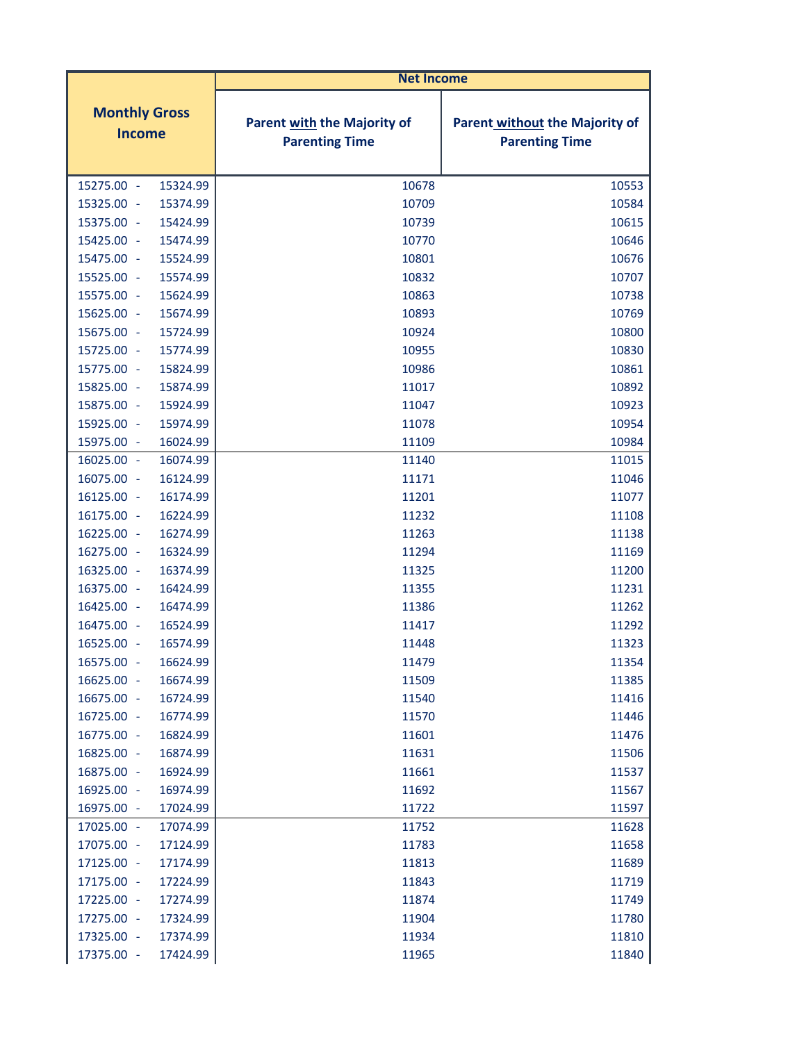|                                                  | <b>Net Income</b>                                           |                                                                |
|--------------------------------------------------|-------------------------------------------------------------|----------------------------------------------------------------|
| <b>Monthly Gross</b><br><b>Income</b>            | <b>Parent with the Majority of</b><br><b>Parenting Time</b> | <b>Parent without the Majority of</b><br><b>Parenting Time</b> |
| 15275.00 -<br>15324.99                           | 10678                                                       | 10553                                                          |
| 15325.00 -<br>15374.99                           | 10709                                                       | 10584                                                          |
| 15375.00 -<br>15424.99                           | 10739                                                       | 10615                                                          |
| 15425.00 -<br>15474.99                           | 10770                                                       | 10646                                                          |
| 15524.99<br>15475.00 -                           | 10801                                                       | 10676                                                          |
| 15574.99<br>15525.00 -                           | 10832                                                       | 10707                                                          |
| 15575.00 -<br>15624.99                           | 10863                                                       | 10738                                                          |
| 15625.00 -<br>15674.99                           | 10893                                                       | 10769                                                          |
| 15724.99<br>15675.00 -                           | 10924                                                       | 10800                                                          |
| 15725.00 -<br>15774.99                           | 10955                                                       | 10830                                                          |
| 15775.00 -<br>15824.99                           | 10986                                                       | 10861                                                          |
| 15874.99<br>15825.00 -                           | 11017                                                       | 10892                                                          |
| 15875.00 -<br>15924.99                           | 11047                                                       | 10923                                                          |
| 15925.00 -<br>15974.99                           | 11078                                                       | 10954                                                          |
| 15975.00 -<br>16024.99                           | 11109                                                       | 10984                                                          |
| 16025.00 -<br>16074.99                           | 11140                                                       | 11015                                                          |
| 16075.00 -<br>16124.99                           | 11171                                                       | 11046                                                          |
| 16174.99<br>16125.00 -                           | 11201                                                       | 11077                                                          |
| 16175.00<br>16224.99<br>$\sim$                   | 11232                                                       | 11108                                                          |
| 16225.00 -<br>16274.99                           | 11263                                                       | 11138                                                          |
| 16275.00 -<br>16324.99                           | 11294                                                       | 11169                                                          |
| 16325.00<br>16374.99<br>$\overline{\phantom{a}}$ | 11325                                                       | 11200                                                          |
| 16375.00 -<br>16424.99                           | 11355                                                       | 11231                                                          |
| 16425.00 -<br>16474.99                           | 11386                                                       | 11262                                                          |
| 16475.00<br>16524.99<br>$\sim$                   | 11417                                                       | 11292                                                          |
| 16525.00 -<br>16574.99                           | 11448                                                       | 11323                                                          |
| 16624.99<br>16575.00 -                           | 11479                                                       | 11354                                                          |
| 16674.99<br>16625.00<br>$\sim$                   | 11509                                                       | 11385                                                          |
| 16675.00 -<br>16724.99                           | 11540                                                       | 11416                                                          |
| 16725.00 -<br>16774.99                           | 11570                                                       | 11446                                                          |
| 16775.00 -<br>16824.99                           | 11601                                                       | 11476                                                          |
| 16825.00 -<br>16874.99                           | 11631                                                       | 11506                                                          |
| 16875.00 -<br>16924.99                           | 11661                                                       | 11537                                                          |
| 16925.00 -<br>16974.99                           | 11692                                                       | 11567                                                          |
| 16975.00 -<br>17024.99                           | 11722                                                       | 11597                                                          |
| 17025.00 -<br>17074.99                           | 11752                                                       | 11628                                                          |
| 17075.00 -<br>17124.99                           | 11783                                                       | 11658                                                          |
| 17125.00 -<br>17174.99                           | 11813                                                       | 11689                                                          |
| 17224.99<br>17175.00 -                           | 11843                                                       | 11719                                                          |
| 17225.00 -<br>17274.99                           | 11874                                                       | 11749                                                          |
| 17275.00 -<br>17324.99                           | 11904                                                       | 11780                                                          |
| 17325.00 -<br>17374.99                           | 11934                                                       | 11810                                                          |
| 17375.00 -<br>17424.99                           | 11965                                                       | 11840                                                          |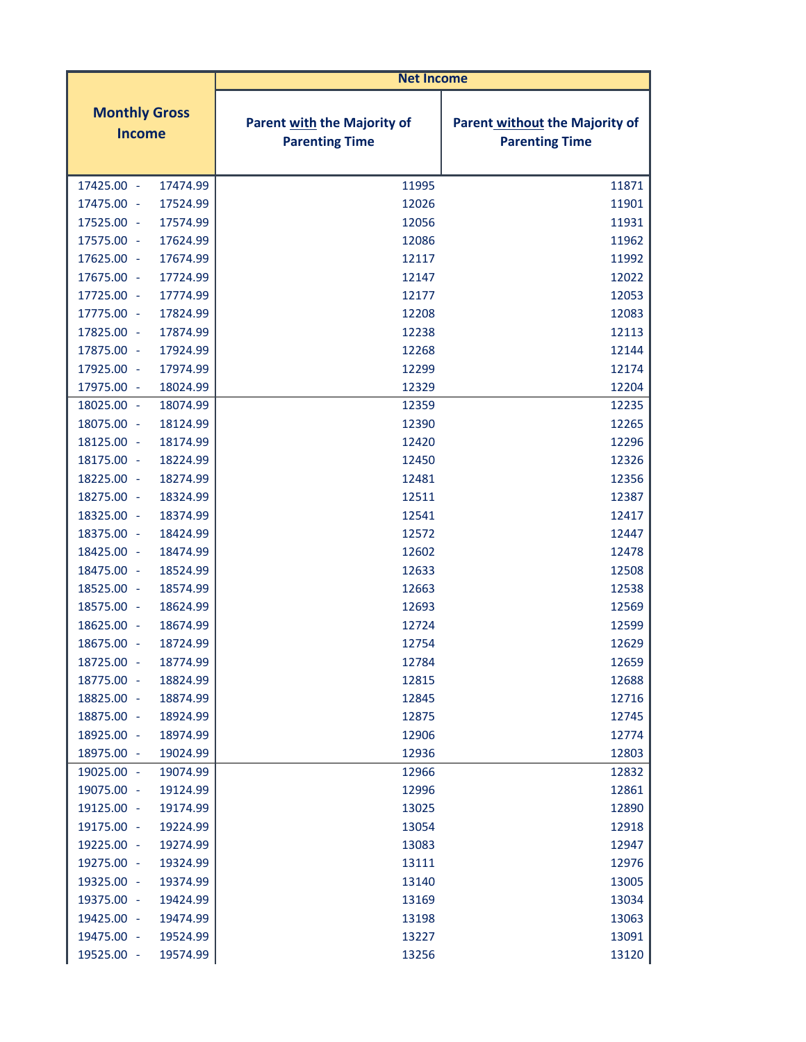|                                       | <b>Net Income</b>                                    |                                                                |
|---------------------------------------|------------------------------------------------------|----------------------------------------------------------------|
| <b>Monthly Gross</b><br><b>Income</b> | Parent with the Majority of<br><b>Parenting Time</b> | <b>Parent without the Majority of</b><br><b>Parenting Time</b> |
| 17425.00 -<br>17474.99                | 11995                                                | 11871                                                          |
| 17475.00 -<br>17524.99                | 12026                                                | 11901                                                          |
| 17525.00 -<br>17574.99                | 12056                                                | 11931                                                          |
| 17575.00 -<br>17624.99                | 12086                                                | 11962                                                          |
| 17674.99<br>17625.00 -                | 12117                                                | 11992                                                          |
| 17675.00 -<br>17724.99                | 12147                                                | 12022                                                          |
| 17725.00 -<br>17774.99                | 12177                                                | 12053                                                          |
| 17775.00 -<br>17824.99                | 12208                                                | 12083                                                          |
| 17825.00 -<br>17874.99                | 12238                                                | 12113                                                          |
| 17875.00 -<br>17924.99                | 12268                                                | 12144                                                          |
| 17925.00 -<br>17974.99                | 12299                                                | 12174                                                          |
| 17975.00 -<br>18024.99                | 12329                                                | 12204                                                          |
| 18025.00 -<br>18074.99                | 12359                                                | 12235                                                          |
| 18075.00 -<br>18124.99                | 12390                                                | 12265                                                          |
| 18125.00 -<br>18174.99                | 12420                                                | 12296                                                          |
| 18175.00 -<br>18224.99                | 12450                                                | 12326                                                          |
| 18225.00 -<br>18274.99                | 12481                                                | 12356                                                          |
| 18275.00 -<br>18324.99                | 12511                                                | 12387                                                          |
| 18325.00 -<br>18374.99                | 12541                                                | 12417                                                          |
| 18424.99<br>18375.00 -                | 12572                                                | 12447                                                          |
| 18425.00 -<br>18474.99                | 12602                                                | 12478                                                          |
| 18475.00 -<br>18524.99                | 12633                                                | 12508                                                          |
| 18525.00 -<br>18574.99                | 12663                                                | 12538                                                          |
| 18575.00 -<br>18624.99                | 12693                                                | 12569                                                          |
| 18625.00 -<br>18674.99                | 12724                                                | 12599                                                          |
| 18675.00 -<br>18724.99                | 12754                                                | 12629                                                          |
| 18725.00 -<br>18774.99                | 12784                                                | 12659                                                          |
| 18775.00 -<br>18824.99                | 12815                                                | 12688                                                          |
| 18825.00 -<br>18874.99                | 12845                                                | 12716                                                          |
| 18875.00 -<br>18924.99                | 12875                                                | 12745                                                          |
| 18925.00 -<br>18974.99                | 12906                                                | 12774                                                          |
| 18975.00 -<br>19024.99                | 12936                                                | 12803                                                          |
| 19025.00 -<br>19074.99                | 12966                                                | 12832                                                          |
| 19075.00 -<br>19124.99                | 12996                                                | 12861                                                          |
| 19125.00 -<br>19174.99                | 13025                                                | 12890                                                          |
| 19175.00 -<br>19224.99                | 13054                                                | 12918                                                          |
| 19225.00 -<br>19274.99                | 13083                                                | 12947                                                          |
| 19275.00 -<br>19324.99                | 13111                                                | 12976                                                          |
| 19325.00 -<br>19374.99                | 13140                                                | 13005                                                          |
| 19375.00 -<br>19424.99                | 13169                                                | 13034                                                          |
| 19425.00 -<br>19474.99                | 13198                                                | 13063                                                          |
| 19475.00 -<br>19524.99                | 13227                                                | 13091                                                          |
| 19525.00 -<br>19574.99                | 13256                                                | 13120                                                          |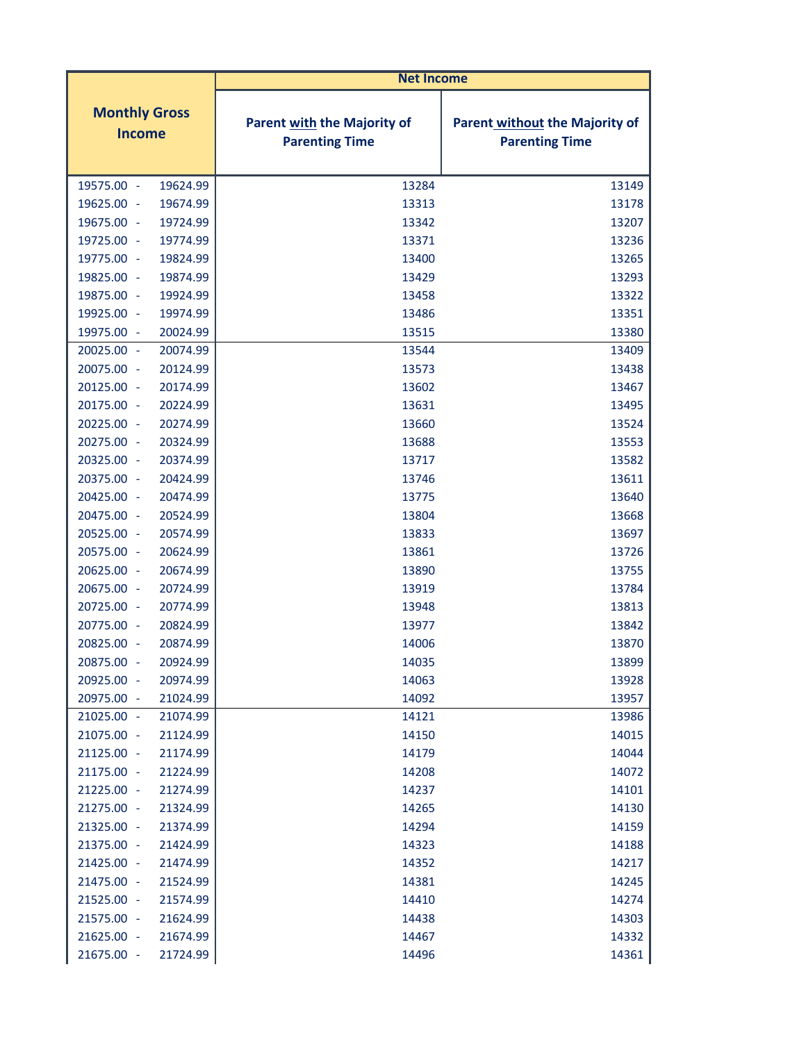|                                       |  | <b>Net Income</b>                                    |                                                                |
|---------------------------------------|--|------------------------------------------------------|----------------------------------------------------------------|
| <b>Monthly Gross</b><br><b>Income</b> |  | Parent with the Majority of<br><b>Parenting Time</b> | <b>Parent without the Majority of</b><br><b>Parenting Time</b> |
| 19575.00 -<br>19624.99                |  | 13284                                                | 13149                                                          |
| 19625.00 -<br>19674.99                |  | 13313                                                | 13178                                                          |
| 19675.00 -<br>19724.99                |  | 13342                                                | 13207                                                          |
| 19725.00 -<br>19774.99                |  | 13371                                                | 13236                                                          |
| 19775.00 -<br>19824.99                |  | 13400                                                | 13265                                                          |
| 19825.00 -<br>19874.99                |  | 13429                                                | 13293                                                          |
| 19875.00 -<br>19924.99                |  | 13458                                                | 13322                                                          |
| 19925.00 -<br>19974.99                |  | 13486                                                | 13351                                                          |
| 19975.00 -<br>20024.99                |  | 13515                                                | 13380                                                          |
| 20025.00 -<br>20074.99                |  | 13544                                                | 13409                                                          |
| 20075.00 -<br>20124.99                |  | 13573                                                | 13438                                                          |
| 20174.99<br>20125.00 -                |  | 13602                                                | 13467                                                          |
| 20175.00 -<br>20224.99                |  | 13631                                                | 13495                                                          |
| 20225.00 -<br>20274.99                |  | 13660                                                | 13524                                                          |
| 20275.00 -<br>20324.99                |  | 13688                                                | 13553                                                          |
| 20325.00 -<br>20374.99                |  | 13717                                                | 13582                                                          |
| 20375.00 -<br>20424.99                |  | 13746                                                | 13611                                                          |
| 20474.99<br>20425.00 -                |  | 13775                                                | 13640                                                          |
| 20524.99<br>20475.00 -                |  | 13804                                                | 13668                                                          |
| 20525.00 -<br>20574.99                |  | 13833                                                | 13697                                                          |
| 20575.00 -<br>20624.99                |  | 13861                                                | 13726                                                          |
| 20625.00 -<br>20674.99                |  | 13890                                                | 13755                                                          |
| 20675.00 -<br>20724.99                |  | 13919                                                | 13784                                                          |
| 20774.99<br>20725.00 -                |  | 13948                                                | 13813                                                          |
| 20775.00 -<br>20824.99                |  | 13977                                                | 13842                                                          |
| 20825.00 -<br>20874.99                |  | 14006                                                | 13870                                                          |
| 20924.99<br>20875.00 -                |  | 14035                                                | 13899                                                          |
| 20925.00 -<br>20974.99                |  | 14063                                                | 13928                                                          |
| 20975.00 -<br>21024.99                |  | 14092                                                | 13957                                                          |
| 21025.00 -<br>21074.99                |  | 14121                                                | 13986                                                          |
| 21075.00 -<br>21124.99                |  | 14150                                                | 14015                                                          |
| 21125.00 -<br>21174.99                |  | 14179                                                | 14044                                                          |
| 21175.00 -<br>21224.99                |  | 14208                                                | 14072                                                          |
| 21225.00 -<br>21274.99                |  | 14237                                                | 14101                                                          |
| 21275.00 -<br>21324.99                |  | 14265                                                | 14130                                                          |
| 21325.00 -<br>21374.99                |  | 14294                                                | 14159                                                          |
| 21375.00 -<br>21424.99                |  | 14323                                                | 14188                                                          |
| 21425.00 -<br>21474.99                |  | 14352                                                | 14217                                                          |
| 21475.00 -<br>21524.99                |  | 14381                                                | 14245                                                          |
| 21525.00 -<br>21574.99                |  | 14410                                                | 14274                                                          |
| 21575.00 -<br>21624.99                |  | 14438                                                | 14303                                                          |
| 21625.00 -<br>21674.99                |  | 14467                                                | 14332                                                          |
| 21675.00 -<br>21724.99                |  | 14496                                                | 14361                                                          |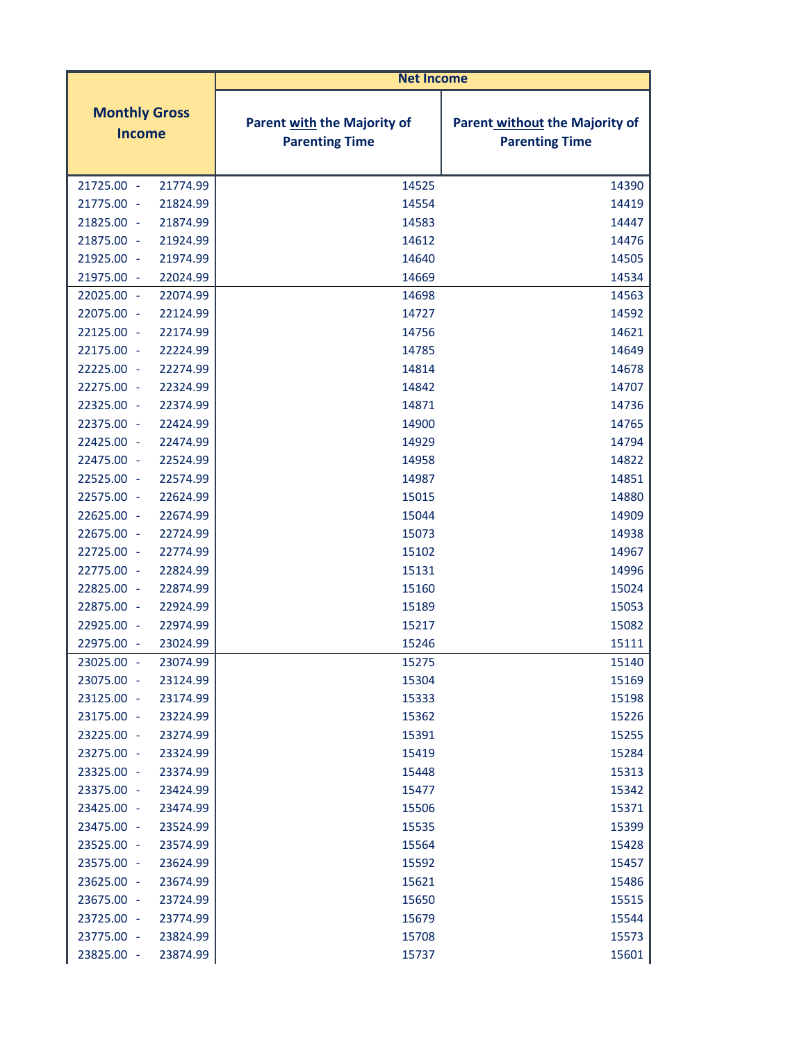|                                       | <b>Net Income</b>                                    |                                                         |
|---------------------------------------|------------------------------------------------------|---------------------------------------------------------|
| <b>Monthly Gross</b><br><b>Income</b> | Parent with the Majority of<br><b>Parenting Time</b> | Parent without the Majority of<br><b>Parenting Time</b> |
| 21725.00 -<br>21774.99                | 14525                                                | 14390                                                   |
| 21775.00 -<br>21824.99                | 14554                                                | 14419                                                   |
| 21825.00 -<br>21874.99                | 14583                                                | 14447                                                   |
| 21875.00 -<br>21924.99                | 14612                                                | 14476                                                   |
| 21974.99<br>21925.00 -                | 14640                                                | 14505                                                   |
| 21975.00 -<br>22024.99                | 14669                                                | 14534                                                   |
| 22074.99<br>22025.00<br>$\sim$        | 14698                                                | 14563                                                   |
| 22075.00 -<br>22124.99                | 14727                                                | 14592                                                   |
| 22125.00 -<br>22174.99                | 14756                                                | 14621                                                   |
| 22175.00 -<br>22224.99                | 14785                                                | 14649                                                   |
| 22225.00 -<br>22274.99                | 14814                                                | 14678                                                   |
| 22275.00 -<br>22324.99                | 14842                                                | 14707                                                   |
| 22325.00 -<br>22374.99                | 14871                                                | 14736                                                   |
| 22424.99<br>22375.00 -                | 14900                                                | 14765                                                   |
| 22425.00 -<br>22474.99                | 14929                                                | 14794                                                   |
| 22475.00 -<br>22524.99                | 14958                                                | 14822                                                   |
| 22525.00 -<br>22574.99                | 14987                                                | 14851                                                   |
| 22624.99<br>22575.00 -                | 15015                                                | 14880                                                   |
| 22625.00<br>22674.99<br>$\sim$        | 15044                                                | 14909                                                   |
| 22675.00 -<br>22724.99                | 15073                                                | 14938                                                   |
| 22725.00 -<br>22774.99                | 15102                                                | 14967                                                   |
| 22775.00<br>22824.99<br>$\sim$        | 15131                                                | 14996                                                   |
| 22825.00 -<br>22874.99                | 15160                                                | 15024                                                   |
| 22875.00 -<br>22924.99                | 15189                                                | 15053                                                   |
| 22925.00<br>22974.99<br>$\sim$        | 15217                                                | 15082                                                   |
| 22975.00 -<br>23024.99                | 15246                                                | 15111                                                   |
| 23025.00 -<br>23074.99                | 15275                                                | 15140                                                   |
| 23124.99<br>23075.00<br>$\sim$        | 15304                                                | 15169                                                   |
| 23125.00 -<br>23174.99                | 15333                                                | 15198                                                   |
| 23175.00 -<br>23224.99                | 15362                                                | 15226                                                   |
| 23225.00 -<br>23274.99                | 15391                                                | 15255                                                   |
| 23275.00 -<br>23324.99                | 15419                                                | 15284                                                   |
| 23325.00 -<br>23374.99                | 15448                                                | 15313                                                   |
| 23375.00 -<br>23424.99                | 15477                                                | 15342                                                   |
| 23425.00 -<br>23474.99                | 15506                                                | 15371                                                   |
| 23475.00 -<br>23524.99                | 15535                                                | 15399                                                   |
| 23525.00 -<br>23574.99                | 15564                                                | 15428                                                   |
| 23575.00 -<br>23624.99                | 15592                                                | 15457                                                   |
| 23625.00 -<br>23674.99                | 15621                                                | 15486                                                   |
| 23675.00 -<br>23724.99                | 15650                                                | 15515                                                   |
| 23725.00 -<br>23774.99                | 15679                                                | 15544                                                   |
| 23775.00 -<br>23824.99                | 15708                                                | 15573                                                   |
| 23825.00 -<br>23874.99                | 15737                                                | 15601                                                   |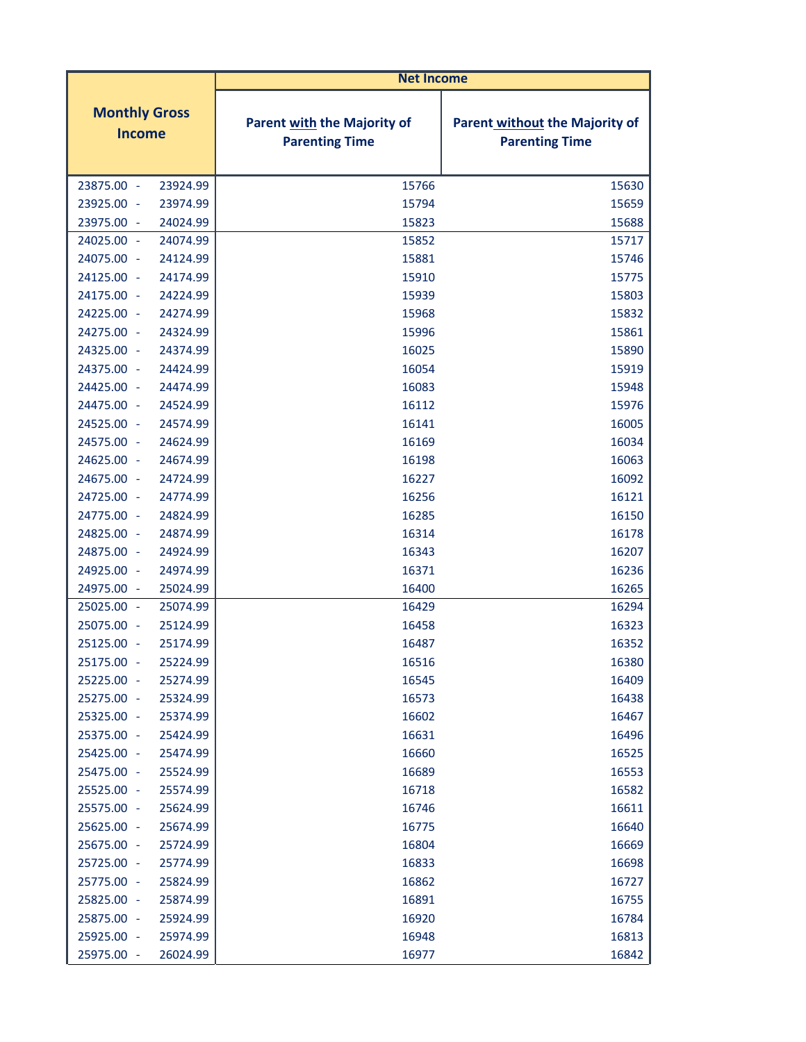|                                       | <b>Net Income</b>                                           |                                                                |
|---------------------------------------|-------------------------------------------------------------|----------------------------------------------------------------|
| <b>Monthly Gross</b><br><b>Income</b> | <b>Parent with the Majority of</b><br><b>Parenting Time</b> | <b>Parent without the Majority of</b><br><b>Parenting Time</b> |
| 23875.00 -<br>23924.99                | 15766                                                       | 15630                                                          |
| 23925.00 -<br>23974.99                | 15794                                                       | 15659                                                          |
| 23975.00 -<br>24024.99                | 15823                                                       | 15688                                                          |
| 24025.00 -<br>24074.99                | 15852                                                       | 15717                                                          |
| 24075.00 -<br>24124.99                | 15881                                                       | 15746                                                          |
| 24125.00 -<br>24174.99                | 15910                                                       | 15775                                                          |
| 24175.00 -<br>24224.99                | 15939                                                       | 15803                                                          |
| 24225.00 -<br>24274.99                | 15968                                                       | 15832                                                          |
| 24275.00 -<br>24324.99                | 15996                                                       | 15861                                                          |
| 24325.00 -<br>24374.99                | 16025                                                       | 15890                                                          |
| 24375.00 -<br>24424.99                | 16054                                                       | 15919                                                          |
| 24474.99<br>24425.00 -                | 16083                                                       | 15948                                                          |
| 24475.00<br>24524.99<br>$\sim$        | 16112                                                       | 15976                                                          |
| 24525.00 -<br>24574.99                | 16141                                                       | 16005                                                          |
| 24575.00 -<br>24624.99                | 16169                                                       | 16034                                                          |
| 24625.00<br>24674.99<br>$\sim$        | 16198                                                       | 16063                                                          |
| 24675.00 -<br>24724.99                | 16227                                                       | 16092                                                          |
| 24725.00 -<br>24774.99                | 16256                                                       | 16121                                                          |
| 24775.00<br>24824.99<br>$\sim$        | 16285                                                       | 16150                                                          |
| 24825.00 -<br>24874.99                | 16314                                                       | 16178                                                          |
| 24875.00 -<br>24924.99                | 16343                                                       | 16207                                                          |
| 24925.00 -<br>24974.99                | 16371                                                       | 16236                                                          |
| 24975.00 -<br>25024.99                | 16400                                                       | 16265                                                          |
| 25025.00 -<br>25074.99                | 16429                                                       | 16294                                                          |
| 25075.00<br>25124.99<br>$\sim$        | 16458                                                       | 16323                                                          |
| 25125.00 -<br>25174.99                | 16487                                                       | 16352                                                          |
| 25224.99<br>25175.00 -                | 16516                                                       | 16380                                                          |
| 25225.00<br>25274.99<br>÷,            | 16545                                                       | 16409                                                          |
| 25275.00 -<br>25324.99                | 16573                                                       | 16438                                                          |
| 25325.00 -<br>25374.99                | 16602                                                       | 16467                                                          |
| 25375.00 -<br>25424.99                | 16631                                                       | 16496                                                          |
| 25425.00 -<br>25474.99                | 16660                                                       | 16525                                                          |
| 25524.99<br>25475.00 -                | 16689                                                       | 16553                                                          |
| 25525.00 -<br>25574.99                | 16718                                                       | 16582                                                          |
| 25575.00 -<br>25624.99                | 16746                                                       | 16611                                                          |
| 25625.00 -<br>25674.99                | 16775                                                       | 16640                                                          |
| 25675.00 -<br>25724.99                | 16804                                                       | 16669                                                          |
| 25725.00 -<br>25774.99                | 16833                                                       | 16698                                                          |
| 25775.00 -<br>25824.99                | 16862                                                       | 16727                                                          |
| 25825.00 -<br>25874.99                | 16891                                                       | 16755                                                          |
| 25875.00<br>25924.99<br>$\sim$        | 16920                                                       | 16784                                                          |
| 25925.00 -<br>25974.99                | 16948                                                       | 16813                                                          |
| 25975.00 -<br>26024.99                | 16977                                                       | 16842                                                          |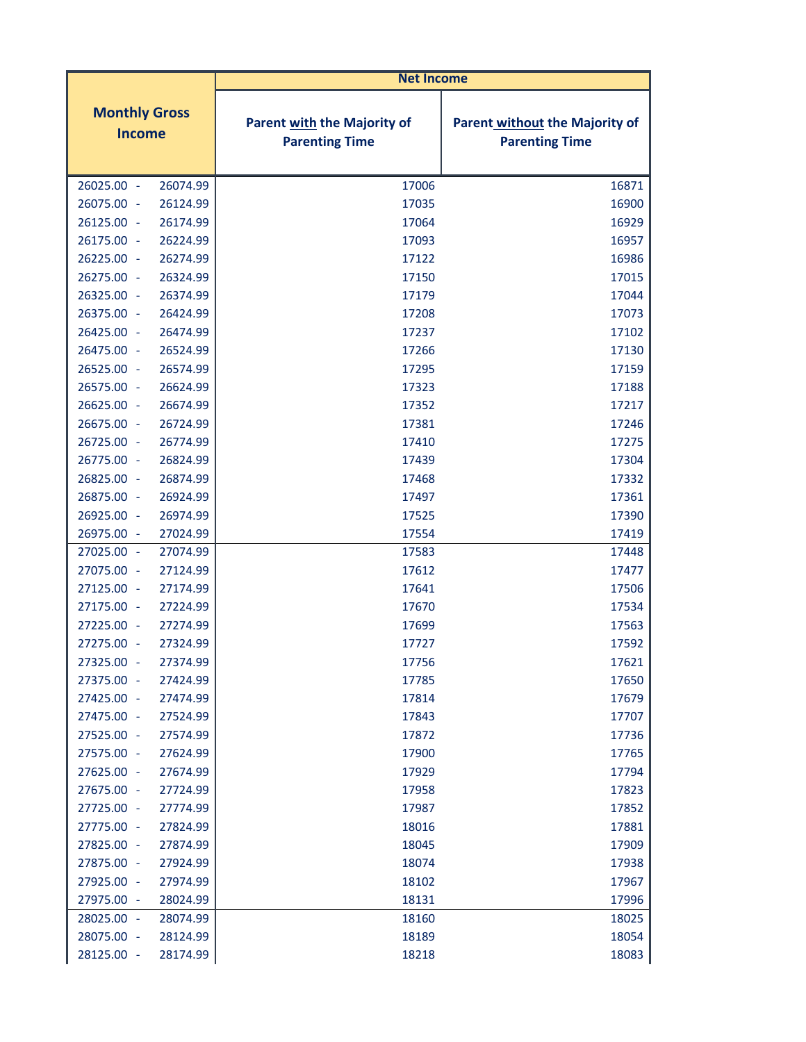| <b>Net Income</b>                                |                                                      |                                                                |
|--------------------------------------------------|------------------------------------------------------|----------------------------------------------------------------|
| <b>Monthly Gross</b><br><b>Income</b>            | Parent with the Majority of<br><b>Parenting Time</b> | <b>Parent without the Majority of</b><br><b>Parenting Time</b> |
| 26025.00 -<br>26074.99                           | 17006                                                | 16871                                                          |
| 26075.00 -<br>26124.99                           | 17035                                                | 16900                                                          |
| 26125.00 -<br>26174.99                           | 17064                                                | 16929                                                          |
| 26175.00 -<br>26224.99                           | 17093                                                | 16957                                                          |
| 26225.00 -<br>26274.99                           | 17122                                                | 16986                                                          |
| 26275.00 -<br>26324.99                           | 17150                                                | 17015                                                          |
| 26325.00 -<br>26374.99                           | 17179                                                | 17044                                                          |
| 26375.00 -<br>26424.99                           | 17208                                                | 17073                                                          |
| 26425.00 -<br>26474.99                           | 17237                                                | 17102                                                          |
| 26475.00 -<br>26524.99                           | 17266                                                | 17130                                                          |
| 26525.00 -<br>26574.99                           | 17295                                                | 17159                                                          |
| 26575.00 -<br>26624.99                           | 17323                                                | 17188                                                          |
| 26625.00 -<br>26674.99                           | 17352                                                | 17217                                                          |
| 26675.00 -<br>26724.99                           | 17381                                                | 17246                                                          |
| 26725.00 -<br>26774.99                           | 17410                                                | 17275                                                          |
| 26775.00 -<br>26824.99                           | 17439                                                | 17304                                                          |
| 26825.00 -<br>26874.99                           | 17468                                                | 17332                                                          |
| 26875.00 -<br>26924.99                           | 17497                                                | 17361                                                          |
| 26925.00 -<br>26974.99                           | 17525                                                | 17390                                                          |
| 27024.99<br>26975.00 -                           | 17554                                                | 17419                                                          |
| 27025.00 -<br>27074.99                           | 17583                                                | 17448                                                          |
| 27075.00 -<br>27124.99                           | 17612<br>17641                                       | 17477                                                          |
| 27125.00 -<br>27174.99                           |                                                      | 17506                                                          |
| 27175.00 -<br>27224.99<br>27274.99               | 17670                                                | 17534                                                          |
| 27225.00 -<br>27275.00 -<br>27324.99             | 17699<br>17727                                       | 17563<br>17592                                                 |
|                                                  |                                                      |                                                                |
| 27325.00 -<br>27374.99<br>27375.00 -<br>27424.99 | 17756<br>17785                                       | 17621<br>17650                                                 |
| 27425.00 -<br>27474.99                           | 17814                                                | 17679                                                          |
| 27475.00 -<br>27524.99                           | 17843                                                | 17707                                                          |
| 27525.00 -<br>27574.99                           | 17872                                                | 17736                                                          |
| 27575.00 -<br>27624.99                           | 17900                                                | 17765                                                          |
| 27625.00 -<br>27674.99                           | 17929                                                | 17794                                                          |
| 27675.00 -<br>27724.99                           | 17958                                                | 17823                                                          |
| 27725.00 -<br>27774.99                           | 17987                                                | 17852                                                          |
| 27775.00 -<br>27824.99                           | 18016                                                | 17881                                                          |
| 27825.00 -<br>27874.99                           | 18045                                                | 17909                                                          |
| 27875.00 -<br>27924.99                           | 18074                                                | 17938                                                          |
| 27925.00 -<br>27974.99                           | 18102                                                | 17967                                                          |
| 27975.00 -<br>28024.99                           | 18131                                                | 17996                                                          |
| 28025.00 -<br>28074.99                           | 18160                                                | 18025                                                          |
| 28075.00 -<br>28124.99                           | 18189                                                | 18054                                                          |
| 28125.00 -<br>28174.99                           | 18218                                                | 18083                                                          |